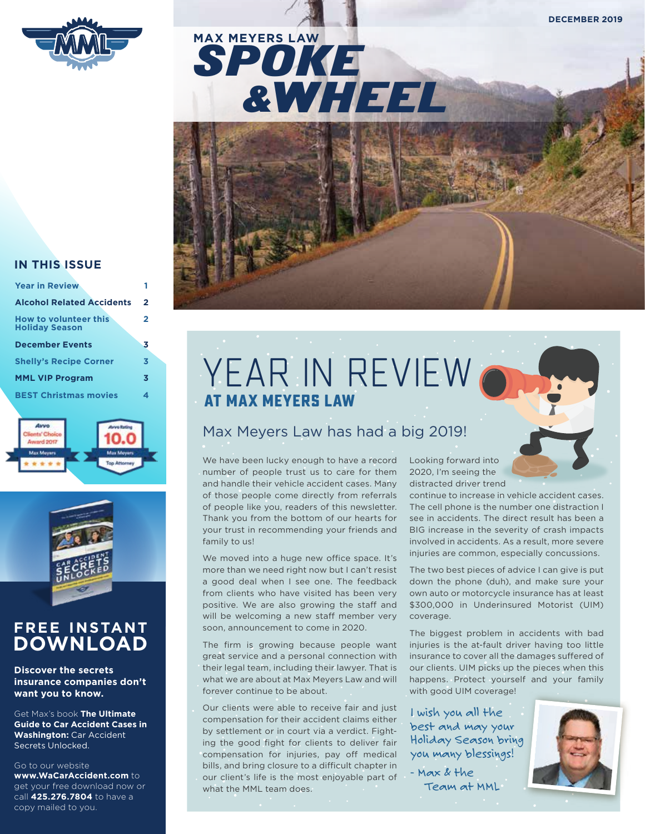

## SPOKE &WHEEL **MAX MEYERS LAW**



#### **IN THIS ISSUE**

| <b>Year in Review</b>                                 |   |
|-------------------------------------------------------|---|
| <b>Alcohol Related Accidents</b>                      | 2 |
| <b>How to volunteer this</b><br><b>Holiday Season</b> | 2 |
| <b>December Events</b>                                | 3 |
| <b>Shelly's Recipe Corner</b>                         | 3 |
| <b>MML VIP Program</b>                                | 3 |
| <b>BEST Christmas movies</b>                          | 4 |
|                                                       |   |





### **FREE INSTANT DOWNLOAD**

**Discover the secrets insurance companies don't want you to know.** 

Get Max's book **The Ultimate Guide to Car Accident Cases in Washington:** Car Accident Secrets Unlocked.

Go to our website

**www.WaCarAccident.com** to get your free download now or call **425.276.7804** to have a copy mailed to you.

## YEAR IN REVIEW **at max meyers law**

### Max Meyers Law has had a big 2019!

We have been lucky enough to have a record number of people trust us to care for them and handle their vehicle accident cases. Many of those people come directly from referrals of people like you, readers of this newsletter. Thank you from the bottom of our hearts for your trust in recommending your friends and family to us!

We moved into a huge new office space. It's more than we need right now but I can't resist a good deal when I see one. The feedback from clients who have visited has been very positive. We are also growing the staff and will be welcoming a new staff member very soon, announcement to come in 2020.

The firm is growing because people want great service and a personal connection with their legal team, including their lawyer. That is what we are about at Max Meyers Law and will forever continue to be about.

Our clients were able to receive fair and just compensation for their accident claims either by settlement or in court via a verdict. Fighting the good fight for clients to deliver fair compensation for injuries, pay off medical bills, and bring closure to a difficult chapter in our client's life is the most enjoyable part of what the MML team does.

Looking forward into 2020, I'm seeing the distracted driver trend

continue to increase in vehicle accident cases. The cell phone is the number one distraction I see in accidents. The direct result has been a BIG increase in the severity of crash impacts involved in accidents. As a result, more severe injuries are common, especially concussions.

The two best pieces of advice I can give is put down the phone (duh), and make sure your own auto or motorcycle insurance has at least \$300,000 in Underinsured Motorist (UIM) coverage.

The biggest problem in accidents with bad injuries is the at-fault driver having too little insurance to cover all the damages suffered of our clients. UIM picks up the pieces when this happens. Protect yourself and your family with good UIM coverage!

I wish you all the best and may your Holiday Season bring you many blessings!



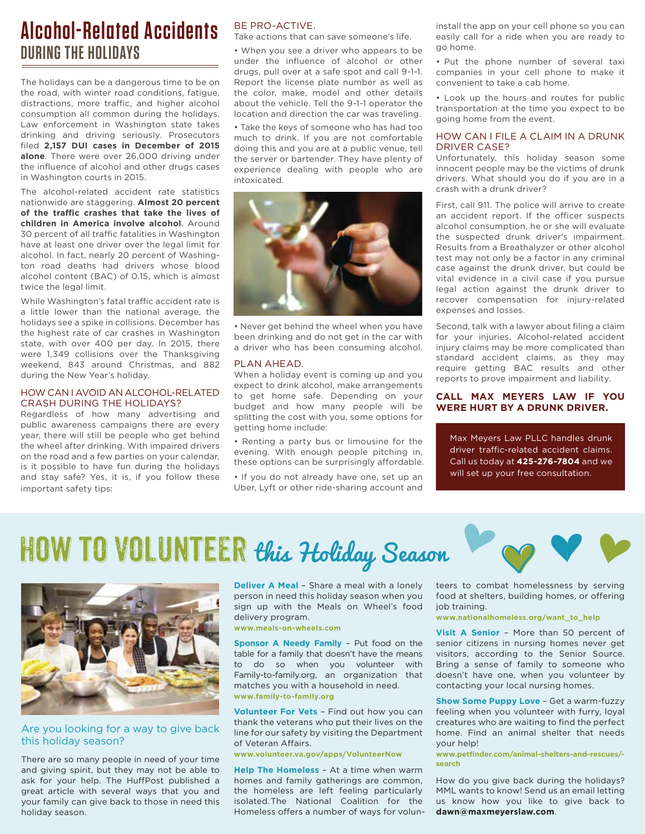## **Alcohol-Related Accidents DURING THE HOLIDAYS**

The holidays can be a dangerous time to be on the road, with winter road conditions, fatigue, distractions, more traffic, and higher alcohol consumption all common during the holidays. Law enforcement in Washington state takes drinking and driving seriously. Prosecutors filed **2,157 DUI cases in December of 2015 alone**. There were over 26,000 driving under the influence of alcohol and other drugs cases in Washington courts in 2015.

The alcohol-related accident rate statistics nationwide are staggering. **Almost 20 percent**  of the traffic crashes that take the lives of **children in America involve alcohol**. Around 30 percent of all traffic fatalities in Washington have at least one driver over the legal limit for alcohol. In fact, nearly 20 percent of Washington road deaths had drivers whose blood alcohol content (BAC) of 0.15, which is almost twice the legal limit.

While Washington's fatal traffic accident rate is a little lower than the national average, the holidays see a spike in collisions. December has the highest rate of car crashes in Washington state, with over 400 per day. In 2015, there were 1,349 collisions over the Thanksgiving weekend, 843 around Christmas, and 882 during the New Year's holiday.

#### HOW CAN I AVOID AN ALCOHOL-RELATED CRASH DURING THE HOLIDAYS?

Regardless of how many advertising and public awareness campaigns there are every year, there will still be people who get behind the wheel after drinking. With impaired drivers on the road and a few parties on your calendar, is it possible to have fun during the holidays and stay safe? Yes, it is, if you follow these important safety tips:

#### BE PRO-ACTIVE.

Take actions that can save someone's life.

• When you see a driver who appears to be under the influence of alcohol or other drugs, pull over at a safe spot and call 9-1-1. Report the license plate number as well as the color, make, model and other details about the vehicle. Tell the 9-1-1 operator the location and direction the car was traveling.

• Take the keys of someone who has had too much to drink. If you are not comfortable doing this and you are at a public venue, tell the server or bartender. They have plenty of experience dealing with people who are intoxicated.



• Never get behind the wheel when you have been drinking and do not get in the car with a driver who has been consuming alcohol.

#### PLAN AHEAD.

When a holiday event is coming up and you expect to drink alcohol, make arrangements to get home safe. Depending on your budget and how many people will be splitting the cost with you, some options for getting home include:

• Renting a party bus or limousine for the evening. With enough people pitching in, these options can be surprisingly affordable.

• If you do not already have one, set up an Uber, Lyft or other ride-sharing account and install the app on your cell phone so you can easily call for a ride when you are ready to go home.

• Put the phone number of several taxi companies in your cell phone to make it convenient to take a cab home.

• Look up the hours and routes for public transportation at the time you expect to be going home from the event.

#### HOW CAN I FILE A CLAIM IN A DRUNK DRIVER CASE?

Unfortunately, this holiday season some innocent people may be the victims of drunk drivers. What should you do if you are in a crash with a drunk driver?

First, call 911. The police will arrive to create an accident report. If the officer suspects alcohol consumption, he or she will evaluate the suspected drunk driver's impairment. Results from a Breathalyzer or other alcohol test may not only be a factor in any criminal case against the drunk driver, but could be vital evidence in a civil case if you pursue legal action against the drunk driver to recover compensation for injury-related expenses and losses.

Second, talk with a lawyer about filing a claim for your injuries. Alcohol-related accident injury claims may be more complicated than standard accident claims, as they may require getting BAC results and other reports to prove impairment and liability.

#### **CALL MAX MEYERS LAW IF YOU WERE HURT BY A DRUNK DRIVER.**

Max Meyers Law PLLC handles drunk driver traffic-related accident claims. Call us today at **425-276-7804** and we will set up your free consultation.

# **HOW TO VOLUNTEER this Holiday Season**



#### Are you looking for a way to give back this holiday season?

There are so many people in need of your time and giving spirit, but they may not be able to ask for your help. The HuffPost published a great article with several ways that you and your family can give back to those in need this holiday season.

**Deliver A Meal** – Share a meal with a lonely person in need this holiday season when you sign up with the Meals on Wheel's food delivery program.

#### **www.meals-on-wheels.com**

**Sponsor A Needy Family** – Put food on the table for a family that doesn't have the means to do so when you volunteer with Family-to-family.org, an organization that matches you with a household in need. **www.family-to-family.org**

**Volunteer For Vets** – Find out how you can thank the veterans who put their lives on the line for our safety by visiting the Department of Veteran Affairs.

#### **www.volunteer.va.gov/apps/VolunteerNow**

**Help The Homeless** – At a time when warm homes and family gatherings are common, the homeless are left feeling particularly isolated.The National Coalition for the Homeless offers a number of ways for volunteers to combat homelessness by serving food at shelters, building homes, or offering job training.

#### **www.nationalhomeless.org/want\_to\_help**

**Visit A Senior** – More than 50 percent of senior citizens in nursing homes never get visitors, according to the Senior Source. Bring a sense of family to someone who doesn't have one, when you volunteer by contacting your local nursing homes.

**Show Some Puppy Love** – Get a warm-fuzzy feeling when you volunteer with furry, loyal creatures who are waiting to find the perfect home. Find an animal shelter that needs your help!

**www.petfinder.com/animal-shelters-and-rescues/ search**

How do you give back during the holidays? MML wants to know! Send us an email letting us know how you like to give back to **dawn@maxmeyerslaw.com**.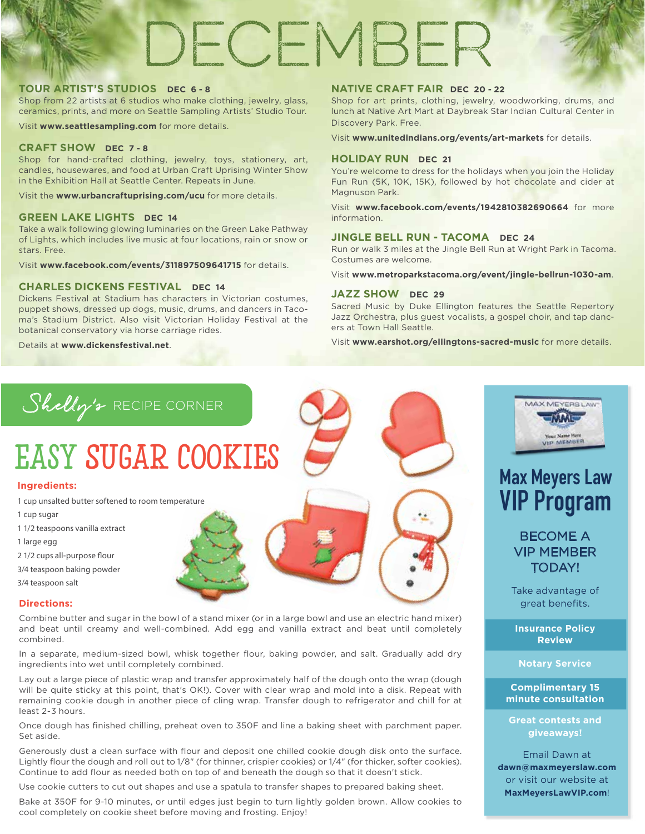# DECEMBER

#### **TOUR ARTIST'S STUDIOS DEC 6 - 8**

Shop from 22 artists at 6 studios who make clothing, jewelry, glass, ceramics, prints, and more on Seattle Sampling Artists' Studio Tour.

Visit **www.seattlesampling.com** for more details.

#### **CRAFT SHOW DEC 7 - 8**

Shop for hand-crafted clothing, jewelry, toys, stationery, art, candles, housewares, and food at Urban Craft Uprising Winter Show in the Exhibition Hall at Seattle Center. Repeats in June.

Visit the **www.urbancraftuprising.com/ucu** for more details.

#### **GREEN LAKE LIGHTS DEC 14**

Take a walk following glowing luminaries on the Green Lake Pathway of Lights, which includes live music at four locations, rain or snow or stars. Free.

Visit **www.facebook.com/events/311897509641715** for details.

#### **CHARLES DICKENS FESTIVAL DEC 14**

Dickens Festival at Stadium has characters in Victorian costumes, puppet shows, dressed up dogs, music, drums, and dancers in Tacoma's Stadium District. Also visit Victorian Holiday Festival at the botanical conservatory via horse carriage rides.

Details at **www.dickensfestival.net**.

#### **NATIVE CRAFT FAIR DEC 20 - 22**

Shop for art prints, clothing, jewelry, woodworking, drums, and lunch at Native Art Mart at Daybreak Star Indian Cultural Center in Discovery Park. Free.

Visit **www.unitedindians.org/events/art-markets** for details.

#### **HOLIDAY RUN DEC 21**

You're welcome to dress for the holidays when you join the Holiday Fun Run (5K, 10K, 15K), followed by hot chocolate and cider at Magnuson Park.

Visit **www.facebook.com/events/1942810382690664** for more information.

#### **JINGLE BELL RUN - TACOMA DEC 24**

Run or walk 3 miles at the Jingle Bell Run at Wright Park in Tacoma. Costumes are welcome.

Visit **www.metroparkstacoma.org/event/jingle-bellrun-1030-am**.

#### **JAZZ SHOW DEC 29**

Sacred Music by Duke Ellington features the Seattle Repertory Jazz Orchestra, plus guest vocalists, a gospel choir, and tap dancers at Town Hall Seattle.

Visit **www.earshot.org/ellingtons-sacred-music** for more details.

## Shelly's RECIPE CORNER

# EASY SUGAR COOKIES **Max Meyers Law**

#### **Ingredients:**

1 cup unsalted butter softened to room temperature

1 cup sugar

- 1 1/2 teaspoons vanilla extract
- 1 large egg
- 2 1/2 cups all-purpose flour

3/4 teaspoon baking powder

3/4 teaspoon salt

#### **Directions:**

Combine butter and sugar in the bowl of a stand mixer (or in a large bowl and use an electric hand mixer) and beat until creamy and well-combined. Add egg and vanilla extract and beat until completely combined.

In a separate, medium-sized bowl, whisk together flour, baking powder, and salt. Gradually add dry ingredients into wet until completely combined.

Lay out a large piece of plastic wrap and transfer approximately half of the dough onto the wrap (dough will be quite sticky at this point, that's OK!). Cover with clear wrap and mold into a disk. Repeat with remaining cookie dough in another piece of cling wrap. Transfer dough to refrigerator and chill for at least 2-3 hours.

Once dough has finished chilling, preheat oven to 350F and line a baking sheet with parchment paper. Set aside.

Generously dust a clean surface with flour and deposit one chilled cookie dough disk onto the surface. Lightly flour the dough and roll out to 1/8" (for thinner, crispier cookies) or 1/4" (for thicker, softer cookies). Continue to add flour as needed both on top of and beneath the dough so that it doesn't stick.

Use cookie cutters to cut out shapes and use a spatula to transfer shapes to prepared baking sheet.

Bake at 350F for 9-10 minutes, or until edges just begin to turn lightly golden brown. Allow cookies to cool completely on cookie sheet before moving and frosting. Enjoy!



# **VIP Program**

### BECOME A VIP MEMBER TODAY!

Take advantage of great benefits.

**Insurance Policy Review**

**Notary Service**

**Complimentary 15 minute consultation**

**Great contests and giveaways!** 

Email Dawn at **dawn@maxmeyerslaw.com** or visit our website at **MaxMeyersLawVIP.com**!